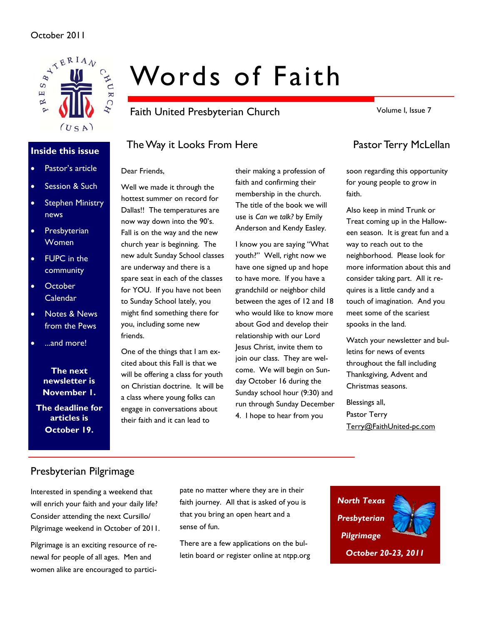### October 2011



### **Inside this issue**

- Pastor's article
- Session & Such
- **Stephen Ministry** news
- Presbyterian Women
- **FUPC** in the community
- October Calendar
- Notes & News from the Pews
- ...and more!

**The next newsletter is November 1.** 

**The deadline for articles is October 19.** 

# Words of Faith

Faith United Presbyterian Church

Volume I, Issue 7

# The Way it Looks From Here **Pastor Terry McLellan**

### Dear Friends,

Well we made it through the hottest summer on record for Dallas!! The temperatures are now way down into the 90's. Fall is on the way and the new church year is beginning. The new adult Sunday School classes are underway and there is a spare seat in each of the classes for YOU. If you have not been to Sunday School lately, you might find something there for you, including some new friends.

One of the things that I am excited about this Fall is that we will be offering a class for youth on Christian doctrine. It will be a class where young folks can engage in conversations about their faith and it can lead to

their making a profession of faith and confirming their membership in the church. The title of the book we will use is *Can we talk?* by Emily Anderson and Kendy Easley.

I know you are saying "What youth?" Well, right now we have one signed up and hope to have more. If you have a grandchild or neighbor child between the ages of 12 and 18 who would like to know more about God and develop their relationship with our Lord Jesus Christ, invite them to join our class. They are welcome. We will begin on Sunday October 16 during the Sunday school hour (9:30) and run through Sunday December 4. I hope to hear from you

soon regarding this opportunity for young people to grow in faith.

Also keep in mind Trunk or Treat coming up in the Halloween season. It is great fun and a way to reach out to the neighborhood. Please look for more information about this and consider taking part. All it requires is a little candy and a touch of imagination. And you meet some of the scariest spooks in the land.

Watch your newsletter and bulletins for news of events throughout the fall including Thanksgiving, Advent and Christmas seasons.

Blessings all, Pastor Terry Terry@FaithUnited-pc.com

# Presbyterian Pilgrimage

Interested in spending a weekend that will enrich your faith and your daily life? Consider attending the next Cursillo/ Pilgrimage weekend in October of 2011.

Pilgrimage is an exciting resource of renewal for people of all ages. Men and women alike are encouraged to partici-

pate no matter where they are in their faith journey. All that is asked of you is that you bring an open heart and a sense of fun.

There are a few applications on the bulletin board or register online at ntpp.org

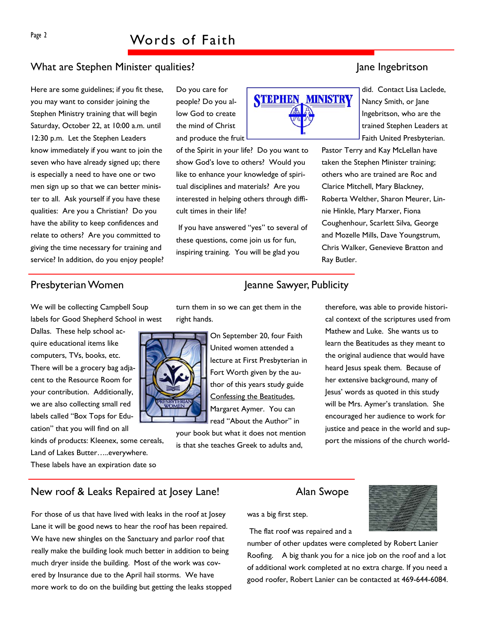# What are Stephen Minister qualities? Jane Jane Ingebritson

Here are some guidelines; if you fit these, you may want to consider joining the Stephen Ministry training that will begin Saturday, October 22, at 10:00 a.m. until 12:30 p.m. Let the Stephen Leaders know immediately if you want to join the seven who have already signed up; there is especially a need to have one or two men sign up so that we can better minister to all. Ask yourself if you have these qualities: Are you a Christian? Do you have the ability to keep confidences and relate to others? Are you committed to giving the time necessary for training and service? In addition, do you enjoy people? Do you care for people? Do you allow God to create the mind of Christ and produce the fruit

of the Spirit in your life? Do you want to show God's love to others? Would you like to enhance your knowledge of spiritual disciplines and materials? Are you interested in helping others through difficult times in their life?

 If you have answered "yes" to several of these questions, come join us for fun, inspiring training. You will be glad you

did. Contact Lisa Laclede, Nancy Smith, or Jane Ingebritson, who are the trained Stephen Leaders at Faith United Presbyterian.

Pastor Terry and Kay McLellan have taken the Stephen Minister training; others who are trained are Roc and Clarice Mitchell, Mary Blackney, Roberta Welther, Sharon Meurer, Linnie Hinkle, Mary Marxer, Fiona Coughenhour, Scarlett Silva, George and Mozelle Mills, Dave Youngstrum, Chris Walker, Genevieve Bratton and Ray Butler.

### Presbyterian Women Jeanne Sawyer, Publicity

We will be collecting Campbell Soup labels for Good Shepherd School in west

Dallas. These help school acquire educational items like computers, TVs, books, etc. There will be a grocery bag adjacent to the Resource Room for your contribution. Additionally, we are also collecting small red labels called "Box Tops for Education" that you will find on all

kinds of products: Kleenex, some cereals, Land of Lakes Butter…..everywhere. These labels have an expiration date so

turn them in so we can get them in the right hands.



On September 20, four Faith United women attended a lecture at First Presbyterian in Fort Worth given by the author of this years study guide Confessing the Beatitudes, Margaret Aymer. You can read "About the Author" in

your book but what it does not mention is that she teaches Greek to adults and,

therefore, was able to provide historical context of the scriptures used from Mathew and Luke. She wants us to learn the Beatitudes as they meant to the original audience that would have heard Jesus speak them. Because of her extensive background, many of Jesus' words as quoted in this study will be Mrs. Aymer's translation. She encouraged her audience to work for justice and peace in the world and support the missions of the church world-

### New roof & Leaks Repaired at Josey Lane! Alan Swope

For those of us that have lived with leaks in the roof at Josey Lane it will be good news to hear the roof has been repaired. We have new shingles on the Sanctuary and parlor roof that really make the building look much better in addition to being much dryer inside the building. Most of the work was covered by Insurance due to the April hail storms. We have more work to do on the building but getting the leaks stopped

was a big first step.

The flat roof was repaired and a

number of other updates were completed by Robert Lanier Roofing. A big thank you for a nice job on the roof and a lot of additional work completed at no extra charge. If you need a good roofer, Robert Lanier can be contacted at 469-644-6084.

**STEPHEN, MINISTRY**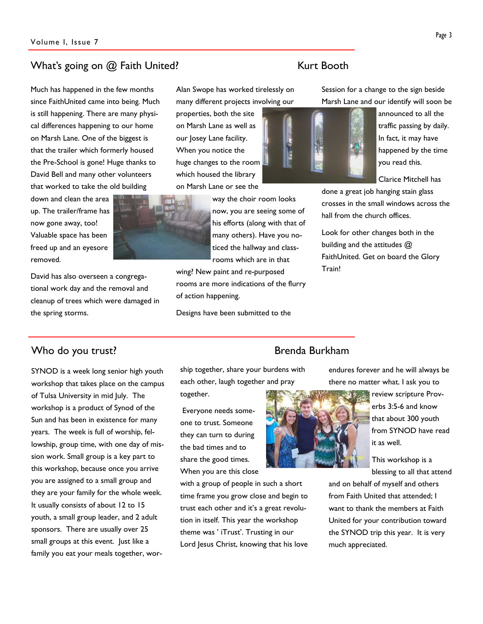# What's going on @ Faith United? The Context of the Kurt Booth

Much has happened in the few months since FaithUnited came into being. Much is still happening. There are many physical differences happening to our home on Marsh Lane. One of the biggest is that the trailer which formerly housed the Pre-School is gone! Huge thanks to David Bell and many other volunteers that worked to take the old building

down and clean the area up. The trailer/frame has now gone away, too! Valuable space has been freed up and an eyesore removed.

David has also overseen a congregational work day and the removal and cleanup of trees which were damaged in the spring storms.

Alan Swope has worked tirelessly on

many different projects involving our properties, both the site on Marsh Lane as well as our Josey Lane facility. When you notice the huge changes to the room which housed the library on Marsh Lane or see the

way the choir room looks now, you are seeing some of

his efforts (along with that of many others). Have you noticed the hallway and classrooms which are in that

wing? New paint and re-purposed rooms are more indications of the flurry of action happening.

Designs have been submitted to the

Session for a change to the sign beside Marsh Lane and our identify will soon be

> announced to all the traffic passing by daily. In fact, it may have happened by the time you read this.

Clarice Mitchell has

done a great job hanging stain glass crosses in the small windows across the hall from the church offices.

Look for other changes both in the building and the attitudes @ FaithUnited. Get on board the Glory Train!

# Who do you trust? The state of the state of the Brenda Burkham

SYNOD is a week long senior high youth workshop that takes place on the campus of Tulsa University in mid July. The workshop is a product of Synod of the Sun and has been in existence for many years. The week is full of worship, fellowship, group time, with one day of mission work. Small group is a key part to this workshop, because once you arrive you are assigned to a small group and they are your family for the whole week. It usually consists of about 12 to 15 youth, a small group leader, and 2 adult sponsors. There are usually over 25 small groups at this event. Just like a family you eat your meals together, wor-

ship together, share your burdens with each other, laugh together and pray

together.

 Everyone needs someone to trust. Someone they can turn to during the bad times and to share the good times. When you are this close

with a group of people in such a short time frame you grow close and begin to trust each other and it's a great revolution in itself. This year the workshop theme was ' iTrust'. Trusting in our Lord Jesus Christ, knowing that his love





endures forever and he will always be there no matter what. I ask you to

> review scripture Proverbs 3:5-6 and know that about 300 youth from SYNOD have read it as well.

This workshop is a blessing to all that attend

and on behalf of myself and others from Faith United that attended; I want to thank the members at Faith United for your contribution toward the SYNOD trip this year. It is very much appreciated.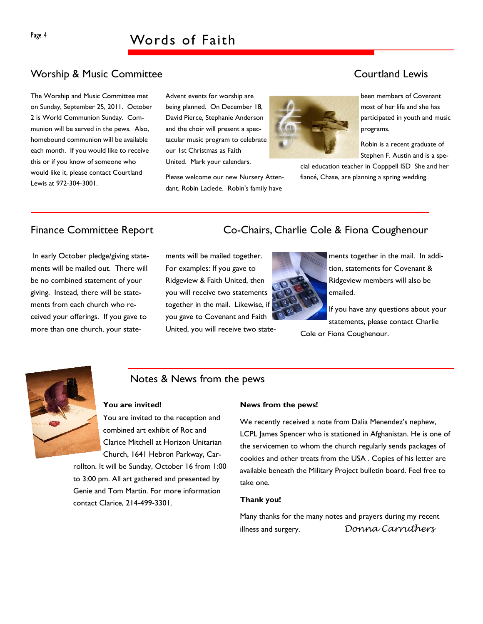# Worship & Music Committee **Courtland Lewis** Courtland Lewis

The Worship and Music Committee met on Sunday, September 25, 2011. October 2 is World Communion Sunday. Communion will be served in the pews. Also, homebound communion will be available each month. If you would like to receive this or if you know of someone who would like it, please contact Courtland Lewis at 972-304-3001.

Advent events for worship are being planned. On December 18, David Pierce, Stephanie Anderson and the choir will present a spectacular music program to celebrate our 1st Christmas as Faith United. Mark your calendars.

Please welcome our new Nursery Attendant, Robin Laclede. Robin's family have



been members of Covenant most of her life and she has participated in youth and music programs.

Robin is a recent graduate of Stephen F. Austin and is a spe-

cial education teacher in Copppell ISD She and her fiancé, Chase, are planning a spring wedding.

 In early October pledge/giving statements will be mailed out. There will be no combined statement of your giving. Instead, there will be statements from each church who received your offerings. If you gave to more than one church, your state-

# Finance Committee Report Co-Chairs, Charlie Cole & Fiona Coughenour

ments will be mailed together. For examples: If you gave to Ridgeview & Faith United, then you will receive two statements together in the mail. Likewise, if you gave to Covenant and Faith United, you will receive two state-



ments together in the mail. In addition, statements for Covenant & Ridgeview members will also be emailed.

If you have any questions about your statements, please contact Charlie Cole or Fiona Coughenour.



# Notes & News from the pews

#### **You are invited!**

You are invited to the reception and combined art exhibit of Roc and Clarice Mitchell at Horizon Unitarian Church, 1641 Hebron Parkway, Car-

rollton. It will be Sunday, October 16 from 1:00 to 3:00 pm. All art gathered and presented by Genie and Tom Martin. For more information contact Clarice, 214-499-3301.

#### **News from the pews!**

We recently received a note from Dalia Menendez's nephew, LCPL James Spencer who is stationed in Afghanistan. He is one of the servicemen to whom the church regularly sends packages of cookies and other treats from the USA . Copies of his letter are available beneath the Military Project bulletin board. Feel free to take one.

#### **Thank you!**

Many thanks for the many notes and prayers during my recent illness and surgery. *Donna Carruthers*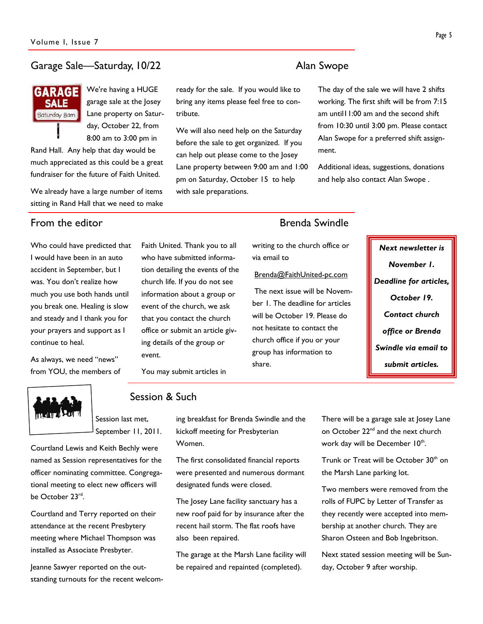### Garage Sale—Saturday, 10/22 Alan Swope

**GARAGE SALE** Saturday 8am

We're having a HUGE garage sale at the Josey Lane property on Saturday, October 22, from 8:00 am to 3:00 pm in

Rand Hall. Any help that day would be much appreciated as this could be a great fundraiser for the future of Faith United.

We already have a large number of items sitting in Rand Hall that we need to make

Who could have predicted that I would have been in an auto accident in September, but I was. You don't realize how much you use both hands until you break one. Healing is slow and steady and I thank you for your prayers and support as I continue to heal.

As always, we need "news" from YOU, the members of



Session & Such

You may submit articles in

event.

### Session last met, September 11, 2011.

Courtland Lewis and Keith Bechly were named as Session representatives for the officer nominating committee. Congregational meeting to elect new officers will be October 23rd.

Courtland and Terry reported on their attendance at the recent Presbytery meeting where Michael Thompson was installed as Associate Presbyter.

Jeanne Sawyer reported on the outstanding turnouts for the recent welcomready for the sale. If you would like to bring any items please feel free to contribute.

We will also need help on the Saturday before the sale to get organized. If you can help out please come to the Josey Lane property between 9:00 am and 1:00 pm on Saturday, October 15 to help with sale preparations.

# From the editor **Brenda** Swindle

ment.

writing to the church office or via email to

### Brenda@FaithUnited-pc.com

 The next issue will be November 1. The deadline for articles will be October 19. Please do not hesitate to contact the church office if you or your group has information to share.

*Next newsletter is November 1. Deadline for articles, October 19. Contact church office or Brenda Swindle via email to submit articles.* 

ing breakfast for Brenda Swindle and the kickoff meeting for Presbyterian

Women.

Faith United. Thank you to all who have submitted information detailing the events of the church life. If you do not see information about a group or event of the church, we ask that you contact the church office or submit an article giving details of the group or

> The first consolidated financial reports were presented and numerous dormant designated funds were closed.

> The Josey Lane facility sanctuary has a new roof paid for by insurance after the recent hail storm. The flat roofs have also been repaired.

The garage at the Marsh Lane facility will be repaired and repainted (completed).

There will be a garage sale at Josey Lane on October 22<sup>nd</sup> and the next church work day will be December 10<sup>th</sup>.

Trunk or Treat will be October 30<sup>th</sup> on the Marsh Lane parking lot.

Two members were removed from the rolls of FUPC by Letter of Transfer as they recently were accepted into membership at another church. They are Sharon Osteen and Bob Ingebritson.

Next stated session meeting will be Sunday, October 9 after worship.

The day of the sale we will have 2 shifts working. The first shift will be from 7:15 am until11:00 am and the second shift from 10:30 until 3:00 pm. Please contact Alan Swope for a preferred shift assign-

Additional ideas, suggestions, donations and help also contact Alan Swope .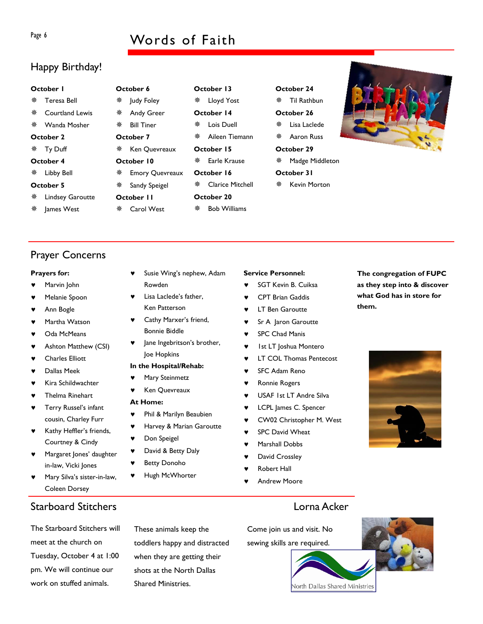# Page 6 Words of Faith

# Happy Birthday!

#### **October 1**

| 鮝<br>Teresa Bell |  |
|------------------|--|
|------------------|--|

- Courtland Lewis
- Wanda Mosher

### **October 2**

**※ Ty Duff** 

### **October 4**

**※ Libby Bell** 

### **October 5**

- **※ Lindsey Garoutte**
- ※ James West

| October 6  |                        |  |  |  |  |  |  |
|------------|------------------------|--|--|--|--|--|--|
| ※ -        | Judy Foley             |  |  |  |  |  |  |
|            | ※ Andy Greer           |  |  |  |  |  |  |
|            | ※ Bill Tiner           |  |  |  |  |  |  |
| October 7  |                        |  |  |  |  |  |  |
|            | ※ Ken Quevreaux        |  |  |  |  |  |  |
| October 10 |                        |  |  |  |  |  |  |
| 盤          | <b>Emory Quevreaux</b> |  |  |  |  |  |  |
| 器          | Sandy Speigel          |  |  |  |  |  |  |

#### **October 11**

**※ Carol West** 

| October 14 |                    |  |  |  |  |  |  |  |
|------------|--------------------|--|--|--|--|--|--|--|
|            | ※ Lois Duell       |  |  |  |  |  |  |  |
|            | ※ Aileen Tiemann   |  |  |  |  |  |  |  |
| October 15 |                    |  |  |  |  |  |  |  |
|            | ※ Earle Krause     |  |  |  |  |  |  |  |
| October 16 |                    |  |  |  |  |  |  |  |
|            | ※ Clarice Mitchell |  |  |  |  |  |  |  |
|            | October 20         |  |  |  |  |  |  |  |
|            | ※ Bob Williams     |  |  |  |  |  |  |  |

**October 13 ※ Lloyd Yost** 

### **October 24**

- ※ Til Rathbun
- **October 26**
- **※ Lisa Laclede**
- **※ Aaron Russ**
- **October 29 ※ Madge Middleton**
- **October 31**
- Kevin Morton



Prayer Concerns

#### **Prayers for:**

- Marvin John
- Melanie Spoon
- Ann Bogle
- Martha Watson
- Oda McMeans
- Ashton Matthew (CSI)
- **Charles Elliott**
- Dallas Meek
- Kira Schildwachter
- Thelma Rinehart
- Terry Russel's infant cousin, Charley Furr
- ♥ Kathy Heffler's friends, Courtney & Cindy
- Margaret Jones' daughter in-law, Vicki Jones
- Mary Silva's sister-in-law, Coleen Dorsey

# **Starboard Stitchers Lorna Acker**

The Starboard Stitchers will meet at the church on Tuesday, October 4 at 1:00 pm. We will continue our work on stuffed animals.

These animals keep the toddlers happy and distracted when they are getting their shots at the North Dallas Shared Ministries.

### **Service Personnel:**

- SGT Kevin B. Cuiksa
- **CPT Brian Gaddis**
- **LT Ben Garoutte**
- ♥ Sr A Jaron Garoutte
- ♥ SPC Chad Manis
- ♥ 1st LT Joshua Montero
- ♥ LT COL Thomas Pentecost
- 
- 
- USAF 1st LT Andre Silva
- LCPL James C. Spencer
- CW02 Christopher M. West
- SPC David Wheat
- Marshall Dobbs
- David Crossley
- **Robert Hall**
- 

**The congregation of FUPC as they step into & discover** 



Come join us and visit. No sewing skills are required.





# **In the Hospital/Rehab:**  Mary Steinmetz

Ken Quevreaux

Joe Hopkins

Rowden

# **At Home:**

- ♥ Phil & Marilyn Beaubien
- Harvey & Marian Garoutte

Susie Wing's nephew, Adam

Lisa Laclede's father, Ken Patterson ♥ Cathy Marxer's friend,

- Don Speigel
- David & Betty Daly
- **Betty Donoho**
- ♥ Hugh McWhorter

Bonnie Biddle Jane Ingebritson's brother,

- -
	- ♥ SFC Adam Reno
	- Ronnie Rogers
	-
	-
	-
	-
	-
	-
	-
	- Andrew Moore

**what God has in store for them.** 

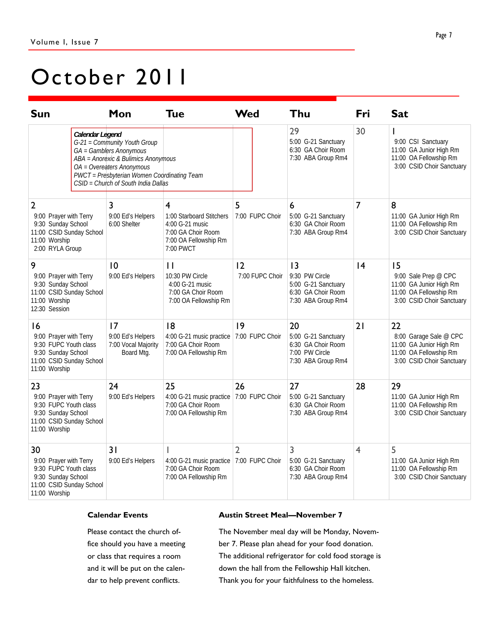# October 2011

| <b>Sun</b>                                                                                                                     |                 | Mon                                                                                                                                                                                                               | <b>Tue</b>                                                                                                                | <b>Wed</b>            | Thu                                                                                     | Fri            | <b>Sat</b>                                                                                                     |
|--------------------------------------------------------------------------------------------------------------------------------|-----------------|-------------------------------------------------------------------------------------------------------------------------------------------------------------------------------------------------------------------|---------------------------------------------------------------------------------------------------------------------------|-----------------------|-----------------------------------------------------------------------------------------|----------------|----------------------------------------------------------------------------------------------------------------|
|                                                                                                                                | Calendar Legend | G-21 = Community Youth Group<br>GA = Gamblers Anonymous<br>ABA = Anorexic & Bulimics Anonymous<br>OA = Overeaters Anonymous<br>PWCT = Presbyterian Women Coordinating Team<br>CSID = Church of South India Dallas |                                                                                                                           |                       | 29<br>5:00 G-21 Sanctuary<br>6:30 GA Choir Room<br>7:30 ABA Group Rm4                   | 30             | 9:00 CSI Sanctuary<br>11:00 GA Junior High Rm<br>11:00 OA Fellowship Rm<br>3:00 CSID Choir Sanctuary           |
| $\overline{2}$<br>9:00 Prayer with Terry<br>9:30 Sunday School<br>11:00 CSID Sunday School<br>11:00 Worship<br>2:00 RYLA Group |                 | 3<br>9:00 Ed's Helpers<br>6:00 Shelter                                                                                                                                                                            | $\overline{4}$<br>1:00 Starboard Stitchers<br>4:00 G-21 music<br>7:00 GA Choir Room<br>7:00 OA Fellowship Rm<br>7:00 PWCT | 5<br>7:00 FUPC Choir  | 6<br>5:00 G-21 Sanctuary<br>6:30 GA Choir Room<br>7:30 ABA Group Rm4                    | $\overline{7}$ | 8<br>11:00 GA Junior High Rm<br>11:00 OA Fellowship Rm<br>3:00 CSID Choir Sanctuary                            |
| 9<br>9:00 Prayer with Terry<br>9:30 Sunday School<br>11:00 CSID Sunday School<br>11:00 Worship<br>12:30 Session                |                 | 10<br>9:00 Ed's Helpers                                                                                                                                                                                           | $\mathbf{I}$<br>10:30 PW Circle<br>4:00 G-21 music<br>7:00 GA Choir Room<br>7:00 OA Fellowship Rm                         | 12<br>7:00 FUPC Choir | 13<br>9:30 PW Circle<br>5:00 G-21 Sanctuary<br>6:30 GA Choir Room<br>7:30 ABA Group Rm4 | 4              | 15<br>9:00 Sale Prep @ CPC<br>11:00 GA Junior High Rm<br>11:00 OA Fellowship Rm<br>3:00 CSID Choir Sanctuary   |
| 16<br>9:00 Prayer with Terry<br>9:30 FUPC Youth class<br>9:30 Sunday School<br>11:00 CSID Sunday School<br>11:00 Worship       |                 | 17<br>9:00 Ed's Helpers<br>7:00 Vocal Majority<br>Board Mtg.                                                                                                                                                      | 8<br>4:00 G-21 music practice   7:00 FUPC Choir<br>7:00 GA Choir Room<br>7:00 OA Fellowship Rm                            | 9                     | 20<br>5:00 G-21 Sanctuary<br>6:30 GA Choir Room<br>7:00 PW Circle<br>7:30 ABA Group Rm4 | 21             | 22<br>8:00 Garage Sale @ CPC<br>11:00 GA Junior High Rm<br>11:00 OA Fellowship Rm<br>3:00 CSID Choir Sanctuary |
| 23<br>9:00 Prayer with Terry<br>9:30 FUPC Youth class<br>9:30 Sunday School<br>11:00 CSID Sunday School<br>11:00 Worship       |                 | 24<br>9:00 Ed's Helpers                                                                                                                                                                                           | 25<br>4:00 G-21 music practice 7:00 FUPC Choir<br>7:00 GA Choir Room<br>7:00 OA Fellowship Rm                             | 26                    | 27<br>5:00 G-21 Sanctuary<br>6:30 GA Choir Room<br>7:30 ABA Group Rm4                   | 28             | 29<br>11:00 GA Junior High Rm<br>11:00 OA Fellowship Rm<br>3:00 CSID Choir Sanctuary                           |
| 30<br>9:00 Prayer with Terry<br>9:30 FUPC Youth class<br>9:30 Sunday School<br>11:00 CSID Sunday School<br>11:00 Worship       |                 | 31<br>9:00 Ed's Helpers                                                                                                                                                                                           | 4:00 G-21 music practice 7:00 FUPC Choir<br>7:00 GA Choir Room<br>7:00 OA Fellowship Rm                                   | $\overline{2}$        | 3<br>5:00 G-21 Sanctuary<br>6:30 GA Choir Room<br>7:30 ABA Group Rm4                    | $\overline{4}$ | 5<br>11:00 GA Junior High Rm<br>11:00 OA Fellowship Rm<br>3:00 CSID Choir Sanctuary                            |

### **Calendar Events**

Please contact the church office should you have a meeting or class that requires a room and it will be put on the calendar to help prevent conflicts.

### **Austin Street Meal—November 7**

The November meal day will be Monday, November 7. Please plan ahead for your food donation. The additional refrigerator for cold food storage is down the hall from the Fellowship Hall kitchen. Thank you for your faithfulness to the homeless.